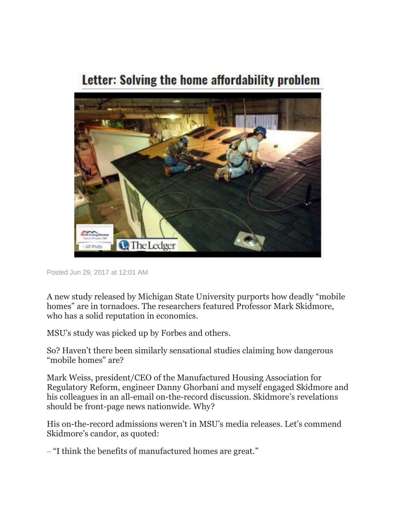## Letter: Solving the home affordability problem



Posted Jun 29, 2017 at 12:01 AM

A new study released by Michigan State University purports how deadly "mobile homes" are in tornadoes. The researchers featured Professor Mark Skidmore, who has a solid reputation in economics.

MSU's study was picked up by Forbes and others.

So? Haven't there been similarly sensational studies claiming how dangerous "mobile homes" are?

Mark Weiss, president/CEO of the Manufactured Housing Association for Regulatory Reform, engineer Danny Ghorbani and myself engaged Skidmore and his colleagues in an all-email on-the-record discussion. Skidmore's revelations should be front-page news nationwide. Why?

His on-the-record admissions weren't in MSU's media releases. Let's commend Skidmore's candor, as quoted:

‒ "I think the benefits of manufactured homes are great."